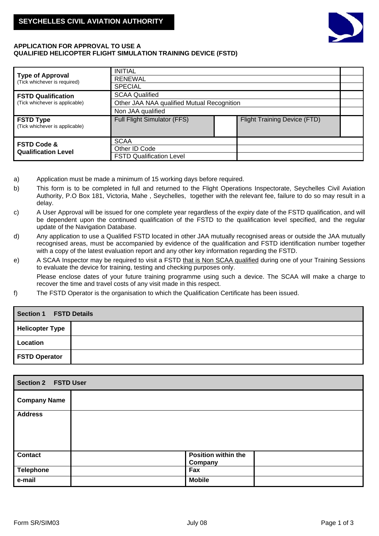

## **APPLICATION FOR APPROVAL TO USE A QUALIFIED HELICOPTER FLIGHT SIMULATION TRAINING DEVICE (FSTD)**

|                                                         | <b>INITIAL</b>                             |                                     |  |  |
|---------------------------------------------------------|--------------------------------------------|-------------------------------------|--|--|
| <b>Type of Approval</b><br>(Tick whichever is required) | <b>RENEWAL</b>                             |                                     |  |  |
|                                                         | <b>SPECIAL</b>                             |                                     |  |  |
| <b>FSTD Qualification</b>                               | <b>SCAA Qualified</b>                      |                                     |  |  |
| (Tick whichever is applicable)                          | Other JAA NAA qualified Mutual Recognition |                                     |  |  |
|                                                         | Non JAA qualified                          |                                     |  |  |
| <b>FSTD Type</b><br>(Tick whichever is applicable)      | Full Flight Simulator (FFS)                | <b>Flight Training Device (FTD)</b> |  |  |
| <b>FSTD Code &amp;</b>                                  | <b>SCAA</b>                                |                                     |  |  |
| <b>Qualification Level</b>                              | Other ID Code                              |                                     |  |  |
|                                                         | <b>FSTD Qualification Level</b>            |                                     |  |  |

- a) Application must be made a minimum of 15 working days before required.
- b) This form is to be completed in full and returned to the Flight Operations Inspectorate, Seychelles Civil Aviation Authority, P.O Box 181, Victoria, Mahe , Seychelles, together with the relevant fee, failure to do so may result in a delay.
- c) A User Approval will be issued for one complete year regardless of the expiry date of the FSTD qualification, and will be dependent upon the continued qualification of the FSTD to the qualification level specified, and the regular update of the Navigation Database.
- d) Any application to use a Qualified FSTD located in other JAA mutually recognised areas or outside the JAA mutually recognised areas, must be accompanied by evidence of the qualification and FSTD identification number together with a copy of the latest evaluation report and any other key information regarding the FSTD.
- e) A SCAA Inspector may be required to visit a FSTD that is Non SCAA qualified during one of your Training Sessions to evaluate the device for training, testing and checking purposes only. Please enclose dates of your future training programme using such a device. The SCAA will make a charge to recover the time and travel costs of any visit made in this respect.
- f) The FSTD Operator is the organisation to which the Qualification Certificate has been issued.

| <b>Section 1</b><br><b>FSTD Details</b> |  |  |  |
|-----------------------------------------|--|--|--|
| <b>Helicopter Type</b>                  |  |  |  |
| Location                                |  |  |  |
| <b>FSTD Operator</b>                    |  |  |  |

| <b>Section 2 FSTD User</b> |                                       |  |
|----------------------------|---------------------------------------|--|
| <b>Company Name</b>        |                                       |  |
| <b>Address</b>             |                                       |  |
| <b>Contact</b>             | <b>Position within the</b><br>Company |  |
| <b>Telephone</b>           | Fax                                   |  |
| e-mail                     | <b>Mobile</b>                         |  |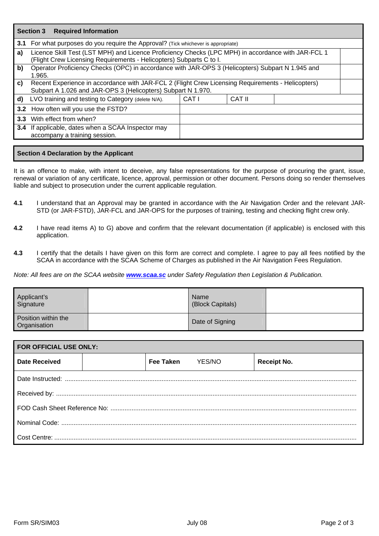|    | <b>Section 3 Required Information</b>                                                                                                                                     |       |        |  |
|----|---------------------------------------------------------------------------------------------------------------------------------------------------------------------------|-------|--------|--|
|    | <b>3.1</b> For what purposes do you require the Approval? (Tick whichever is appropriate)                                                                                 |       |        |  |
| a) | Licence Skill Test (LST MPH) and Licence Proficiency Checks (LPC MPH) in accordance with JAR-FCL 1<br>(Flight Crew Licensing Requirements - Helicopters) Subparts C to I. |       |        |  |
| b) | Operator Proficiency Checks (OPC) in accordance with JAR-OPS 3 (Helicopters) Subpart N 1.945 and<br>1.965.                                                                |       |        |  |
| C) | Recent Experience in accordance with JAR-FCL 2 (Flight Crew Licensing Requirements - Helicopters)<br>Subpart A 1.026 and JAR-OPS 3 (Helicopters) Subpart N 1.970.         |       |        |  |
|    | d) LVO training and testing to Category (delete N/A).                                                                                                                     | CAT I | CAT II |  |
|    | 3.2 How often will you use the FSTD?                                                                                                                                      |       |        |  |
|    | 3.3 With effect from when?                                                                                                                                                |       |        |  |
|    | 3.4 If applicable, dates when a SCAA Inspector may<br>accompany a training session.                                                                                       |       |        |  |

## **Section 4 Declaration by the Applicant**

It is an offence to make, with intent to deceive, any false representations for the purpose of procuring the grant, issue, renewal or variation of any certificate, licence, approval, permission or other document. Persons doing so render themselves liable and subject to prosecution under the current applicable regulation.

- **4.1** I understand that an Approval may be granted in accordance with the Air Navigation Order and the relevant JAR-STD (or JAR-FSTD), JAR-FCL and JAR-OPS for the purposes of training, testing and checking flight crew only.
- **4.2** I have read items A) to G) above and confirm that the relevant documentation (if applicable) is enclosed with this application.
- **4.3** I certify that the details I have given on this form are correct and complete. I agree to pay all fees notified by the SCAA in accordance with the SCAA Scheme of Charges as published in the Air Navigation Fees Regulation.

*Note: All fees are on the SCAA website [www.scaa.sc](http://www.scaa.sc/) under Safety Regulation then Legislation & Publication.*

| Applicant's<br>Signature            | Name<br>(Block Capitals) |  |
|-------------------------------------|--------------------------|--|
| Position within the<br>Organisation | Date of Signing          |  |

| <b>FOR OFFICIAL USE ONLY:</b> |  |                  |        |                    |
|-------------------------------|--|------------------|--------|--------------------|
| <b>Date Received</b>          |  | <b>Fee Taken</b> | YES/NO | <b>Receipt No.</b> |
|                               |  |                  |        |                    |
|                               |  |                  |        |                    |
|                               |  |                  |        |                    |
|                               |  |                  |        |                    |
|                               |  |                  |        |                    |